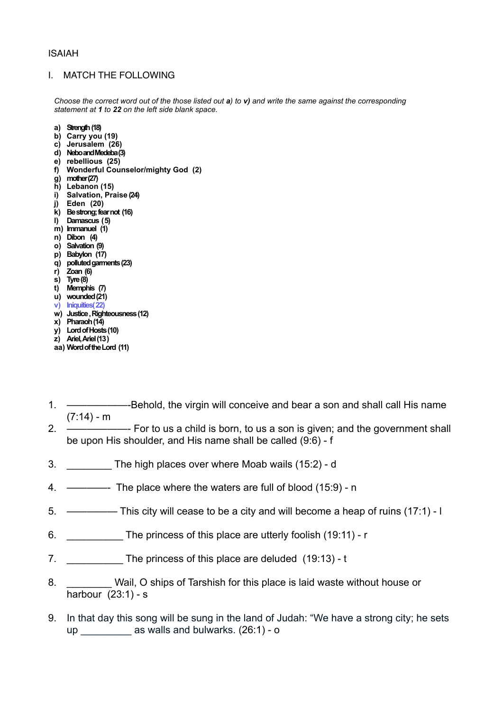### ISAIAH

#### I. MATCH THE FOLLOWING

*Choose the correct word out of the those listed out a) to v) and write the same against the corresponding statement at 1 to 22 on the left side blank space.* 

- **a) Strength (18)**
- **b) Carry you (19)**
- **c) Jerusalem (26)**
- **d) Nebo and Medeba (3)**
- **e) rebellious (25)**
- **f) Wonderful Counselor/mighty God (2)**
- **g) mother (27)**
- **h) Lebanon (15)**
- **i) Salvation, Praise (24)**
- **j) Eden (20)**
- **k) Be strong; fear not (16)**
- **l) Damascus ( 5)**
- **m) Immanuel (1)**
- **n) Dibon (4)**
- **o) Salvation (9)**
- **p) Babylon (17)**
- **q) polluted garments (23)**
- **r) Zoan (6)**
- **s) Tyre (8)**
- **t) Memphis (7)**
- **u) wounded (21)**
- **v) Iniquities( 22) w) Justice , Righteousness (12)**
- **x) Pharaoh (14)**
- **y) Lord of Hosts (10)**
- **z) Ariel, Ariel (13 )**
- **aa) Word of the Lord (11)**
- 1. ——————-Behold, the virgin will conceive and bear a son and shall call His name  $(7:14) - m$
- 2. ——————- For to us a child is born, to us a son is given; and the government shall be upon His shoulder, and His name shall be called (9:6) - f
- 3. \_\_\_\_\_\_\_\_ The high places over where Moab wails (15:2) d
- 4. ————- The place where the waters are full of blood (15:9) n
- 5. ————— This city will cease to be a city and will become a heap of ruins (17:1) l
- 6. The princess of this place are utterly foolish (19:11) r
- 7. The princess of this place are deluded (19:13) t
- 8. Wail, O ships of Tarshish for this place is laid waste without house or harbour (23:1) - s
- 9. In that day this song will be sung in the land of Judah: "We have a strong city; he sets up  $\qquad \qquad$  as walls and bulwarks. (26:1) - o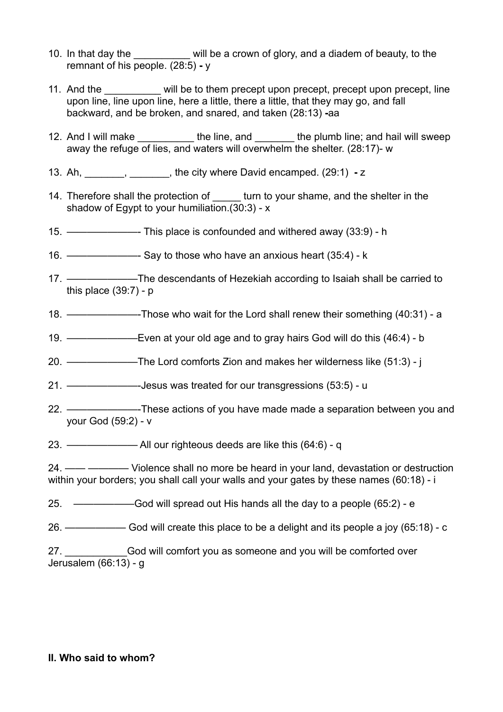- 10. In that day the will be a crown of glory, and a diadem of beauty, to the remnant of his people. (28:5) **-** y
- 11. And the \_\_\_\_\_\_\_\_\_\_ will be to them precept upon precept, precept upon precept, line upon line, line upon line, here a little, there a little, that they may go, and fall backward, and be broken, and snared, and taken (28:13) **-**aa
- 12. And I will make the line, and the plumb line; and hail will sweep away the refuge of lies, and waters will overwhelm the shelter. (28:17)- w
- 13. Ah, \_\_\_\_\_\_\_, \_\_\_\_\_\_\_, the city where David encamped. (29:1) z
- 14. Therefore shall the protection of turn to your shame, and the shelter in the shadow of Egypt to your humiliation.(30:3) - x
- 15. ———————- This place is confounded and withered away (33:9) h
- 16. ———————- Say to those who have an anxious heart (35:4) k
- 17. ———————The descendants of Hezekiah according to Isaiah shall be carried to this place  $(39:7)$  - p
- 18. ———————-Those who wait for the Lord shall renew their something (40:31) a
- 19. ———————Even at your old age and to gray hairs God will do this (46:4) b
- 20. ———————The Lord comforts Zion and makes her wilderness like (51:3) j

21. ———————-Jesus was treated for our transgressions (53:5) - u

- 22. ———————-These actions of you have made made a separation between you and your God (59:2) - v
- 23. ——————— All our righteous deeds are like this (64:6) q
- 24. —— ———— Violence shall no more be heard in your land, devastation or destruction within your borders; you shall call your walls and your gates by these names (60:18) - i
- 25. ——————God will spread out His hands all the day to a people (65:2) e
- 26. —————— God will create this place to be a delight and its people a joy (65:18) c
- 27. **Example 27** God will comfort you as someone and you will be comforted over Jerusalem (66:13) - g

### **II. Who said to whom?**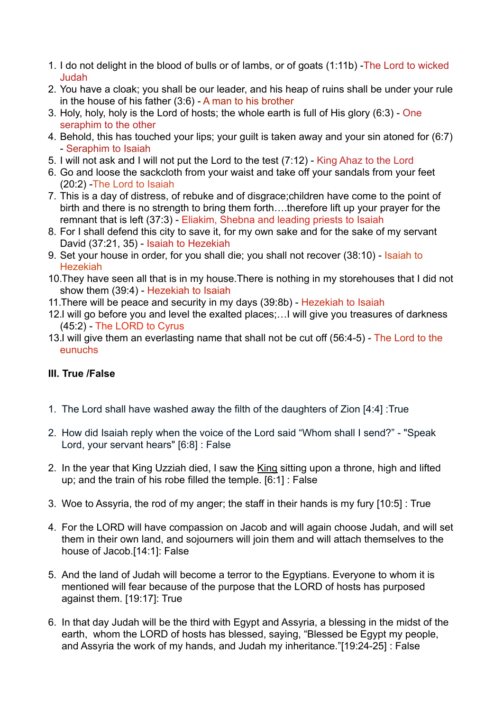- 1. I do not delight in the blood of bulls or of lambs, or of goats (1:11b) -The Lord to wicked Judah
- 2. You have a cloak; you shall be our leader, and his heap of ruins shall be under your rule in the house of his father (3:6) - A man to his brother
- 3. Holy, holy, holy is the Lord of hosts; the whole earth is full of His glory (6:3) One seraphim to the other
- 4. Behold, this has touched your lips; your guilt is taken away and your sin atoned for (6:7) - Seraphim to Isaiah
- 5. I will not ask and I will not put the Lord to the test (7:12) King Ahaz to the Lord
- 6. Go and loose the sackcloth from your waist and take off your sandals from your feet (20:2) -The Lord to Isaiah
- 7. This is a day of distress, of rebuke and of disgrace;children have come to the point of birth and there is no strength to bring them forth….therefore lift up your prayer for the remnant that is left (37:3) - Eliakim, Shebna and leading priests to Isaiah
- 8. For I shall defend this city to save it, for my own sake and for the sake of my servant David (37:21, 35) - Isaiah to Hezekiah
- 9. Set your house in order, for you shall die; you shall not recover (38:10) Isaiah to Hezekiah
- 10.They have seen all that is in my house.There is nothing in my storehouses that I did not show them (39:4) - Hezekiah to Isaiah
- 11.There will be peace and security in my days (39:8b) Hezekiah to Isaiah
- 12.I will go before you and level the exalted places;…I will give you treasures of darkness (45:2) - The LORD to Cyrus
- 13.I will give them an everlasting name that shall not be cut off (56:4-5) The Lord to the eunuchs

# **III. True /False**

- 1. The Lord shall have washed away the filth of the daughters of Zion [4:4] :True
- 2. How did Isaiah reply when the voice of the Lord said "Whom shall I send?" "Speak Lord, your servant hears" [6:8] : False
- 2. In the year that King Uzziah died, I saw the King sitting upon a throne, high and lifted up; and the train of his robe filled the temple. [6:1] : False
- 3. Woe to Assyria, the rod of my anger; the staff in their hands is my fury [10:5] : True
- 4. For the LORD will have compassion on Jacob and will again choose Judah, and will set them in their own land, and sojourners will join them and will attach themselves to the house of Jacob.[14:1]: False
- 5. And the land of Judah will become a terror to the Egyptians. Everyone to whom it is mentioned will fear because of the purpose that the LORD of hosts has purposed against them. [19:17]: True
- 6. In that day Judah will be the third with Egypt and Assyria, a blessing in the midst of the earth, whom the LORD of hosts has blessed, saying, "Blessed be Egypt my people, and Assyria the work of my hands, and Judah my inheritance."[19:24-25] : False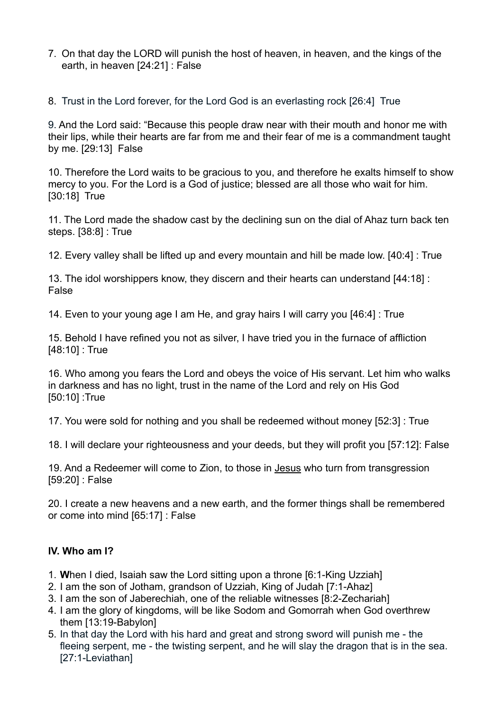7. On that day the LORD will punish the host of heaven, in heaven, and the kings of the earth, in heaven [24:21] : False

8. Trust in the Lord forever, for the Lord God is an everlasting rock [26:4] True

9. And the Lord said: "Because this people draw near with their mouth and honor me with their lips, while their hearts are far from me and their fear of me is a commandment taught by me. [29:13] False

10. Therefore the Lord waits to be gracious to you, and therefore he exalts himself to show mercy to you. For the Lord is a God of justice; blessed are all those who wait for him. [30:18] True

11. The Lord made the shadow cast by the declining sun on the dial of Ahaz turn back ten steps. [38:8] : True

12. Every valley shall be lifted up and every mountain and hill be made low. [40:4] : True

13. The idol worshippers know, they discern and their hearts can understand [44:18] : False

14. Even to your young age I am He, and gray hairs I will carry you [46:4] : True

15. Behold I have refined you not as silver, I have tried you in the furnace of affliction [48:10] : True

16. Who among you fears the Lord and obeys the voice of His servant. Let him who walks in darkness and has no light, trust in the name of the Lord and rely on His God [50:10] :True

17. You were sold for nothing and you shall be redeemed without money [52:3] : True

18. I will declare your righteousness and your deeds, but they will profit you [57:12]: False

19. And a Redeemer will come to Zion, to those in Jesus who turn from transgression [59:20] : False

20. I create a new heavens and a new earth, and the former things shall be remembered or come into mind [65:17] : False

## **IV. Who am I?**

- 1. **W**hen I died, Isaiah saw the Lord sitting upon a throne [6:1-King Uzziah]
- 2. I am the son of Jotham, grandson of Uzziah, King of Judah [7:1-Ahaz]
- 3. I am the son of Jaberechiah, one of the reliable witnesses [8:2-Zechariah]
- 4. I am the glory of kingdoms, will be like Sodom and Gomorrah when God overthrew them [13:19-Babylon]
- 5. In that day the Lord with his hard and great and strong sword will punish me the fleeing serpent, me - the twisting serpent, and he will slay the dragon that is in the sea. [27:1-Leviathan]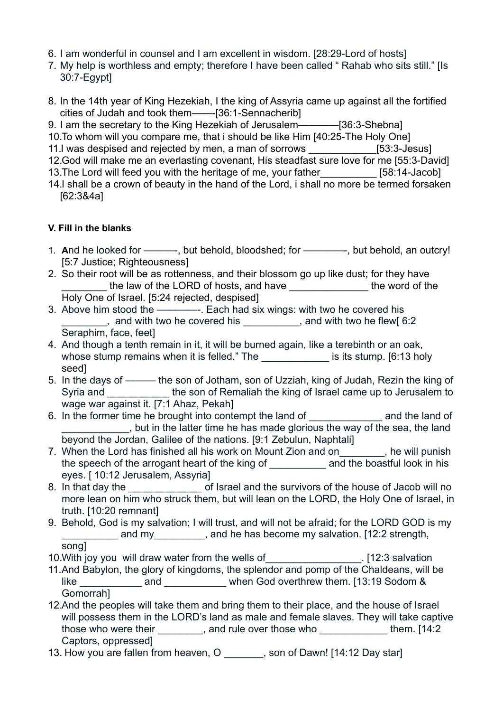- 6. I am wonderful in counsel and I am excellent in wisdom. [28:29-Lord of hosts]
- 7. My help is worthless and empty; therefore I have been called " Rahab who sits still." [Is 30:7-Egypt]
- 8. In the 14th year of King Hezekiah, I the king of Assyria came up against all the fortified cities of Judah and took them——-[36:1-Sennacherib]
- 9. I am the secretary to the King Hezekiah of Jerusalem————[36:3-Shebna]
- 10.To whom will you compare me, that i should be like Him [40:25-The Holy One]
- 11.I was despised and rejected by men, a man of sorrows [53:3-Jesus]
- 12.God will make me an everlasting covenant, His steadfast sure love for me [55:3-David]
- 13. The Lord will feed you with the heritage of me, your father [58:14-Jacob] 14.I shall be a crown of beauty in the hand of the Lord, i shall no more be termed forsaken [62:3&4a]

## **V. Fill in the blanks**

- 1. **A**nd he looked for ———-, but behold, bloodshed; for ————-, but behold, an outcry! [5:7 Justice; Righteousness]
- 2. So their root will be as rottenness, and their blossom go up like dust; for they have Louis the law of the LORD of hosts, and have Louis 2014 the word of the Holy One of Israel. [5:24 rejected, despised]
- 3. Above him stood the ————-. Each had six wings: with two he covered his quanglely and with two he covered his  $\Box$ , and with two he flew[ 6:2 Seraphim, face, feet]
- 4. And though a tenth remain in it, it will be burned again, like a terebinth or an oak, whose stump remains when it is felled." The \_\_\_\_\_\_\_\_\_\_\_\_\_\_\_ is its stump. [6:13 holy seed]
- 5. In the days of ——— the son of Jotham, son of Uzziah, king of Judah, Rezin the king of Syria and \_\_\_\_\_\_\_\_\_\_\_ the son of Remaliah the king of Israel came up to Jerusalem to wage war against it. [7:1 Ahaz, Pekah]
- 6. In the former time he brought into contempt the land of **Example 2** and the land of \_\_\_\_\_\_\_\_\_\_\_\_, but in the latter time he has made glorious the way of the sea, the land beyond the Jordan, Galilee of the nations. [9:1 Zebulun, Naphtali]
- 7. When the Lord has finished all his work on Mount Zion and on the will punish the speech of the arrogant heart of the king of and the boastful look in his eyes. [ 10:12 Jerusalem, Assyria]
- 8. In that day the  $\sim$  of Israel and the survivors of the house of Jacob will no more lean on him who struck them, but will lean on the LORD, the Holy One of Israel, in truth. [10:20 remnant]
- 9. Behold, God is my salvation; I will trust, and will not be afraid; for the LORD GOD is my and my end is and he has become my salvation. [12:2 strength,

song]

- 10. With joy you will draw water from the wells of Table 12:3 salvation
- 11.And Babylon, the glory of kingdoms, the splendor and pomp of the Chaldeans, will be like \_\_\_\_\_\_\_\_\_\_\_\_\_\_\_\_ and \_\_\_\_\_\_\_\_\_\_\_\_\_ when God overthrew them. [13:19 Sodom & Gomorrah]
- 12.And the peoples will take them and bring them to their place, and the house of Israel will possess them in the LORD's land as male and female slaves. They will take captive those who were their \_\_\_\_\_\_\_, and rule over those who \_\_\_\_\_\_\_\_\_\_\_\_\_\_them. [14:2] Captors, oppressed]
- 13. How you are fallen from heaven, O zon of Dawn! [14:12 Day star]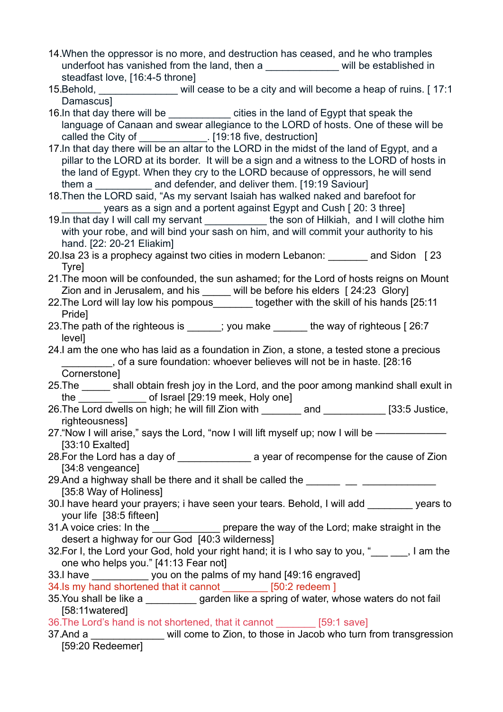- 14.When the oppressor is no more, and destruction has ceased, and he who tramples underfoot has vanished from the land, then a will be established in steadfast love, [16:4-5 throne]
- 15.Behold, will cease to be a city and will become a heap of ruins. [ 17:1] Damascus]
- 16.In that day there will be example in the land of Egypt that speak the language of Canaan and swear allegiance to the LORD of hosts. One of these will be called the City of \_\_\_\_\_\_\_\_\_\_\_\_\_. [19:18 five, destruction]
- 17.In that day there will be an altar to the LORD in the midst of the land of Egypt, and a pillar to the LORD at its border. It will be a sign and a witness to the LORD of hosts in the land of Egypt. When they cry to the LORD because of oppressors, he will send them a **Example 2** and defender, and deliver them. [19:19 Saviour]
- 18.Then the LORD said, "As my servant Isaiah has walked naked and barefoot for years as a sign and a portent against Egypt and Cush [ 20: 3 three]
- 19.In that day I will call my servant the son of Hilkiah, and I will clothe him with your robe, and will bind your sash on him, and will commit your authority to his hand. [22: 20-21 Eliakim]
- 20.Isa 23 is a prophecy against two cities in modern Lebanon: \_\_\_\_\_\_\_ and Sidon [ 23 Tyre]
- 21.The moon will be confounded, the sun ashamed; for the Lord of hosts reigns on Mount Zion and in Jerusalem, and his will be before his elders [ 24:23 Glory]
- 22. The Lord will lay low his pompous together with the skill of his hands [25:11] Pride]
- 23. The path of the righteous is  $\qquad$ ; you make the way of righteous [ 26:7 level]

24.I am the one who has laid as a foundation in Zion, a stone, a tested stone a precious \_\_\_\_\_\_\_\_\_, of a sure foundation: whoever believes will not be in haste. [28:16 Cornerstone]

- 25.The \_\_\_\_\_ shall obtain fresh joy in the Lord, and the poor among mankind shall exult in the \_\_\_\_\_\_\_\_ \_\_\_\_\_\_ of Israel [29:19 meek, Holy one]
- 26. The Lord dwells on high; he will fill Zion with \_\_\_\_\_\_\_\_ and \_\_\_\_\_\_\_\_ [33:5 Justice, righteousness]
- 27. "Now I will arise," says the Lord, "now I will lift myself up; now I will be —————— [33:10 Exalted]
- 28. For the Lord has a day of a section of recompense for the cause of Zion [34:8 vengeance]
- 29.And a highway shall be there and it shall be called the [35:8 Way of Holiness]
- 30.I have heard your prayers; i have seen your tears. Behold, I will add \_\_\_\_\_\_\_\_ years to your life [38:5 fifteen]
- 31.A voice cries: In the \_\_\_\_\_\_\_\_\_\_\_\_\_\_ prepare the way of the Lord; make straight in the desert a highway for our God [40:3 wilderness]
- 32. For I, the Lord your God, hold your right hand; it is I who say to you, "..., I am the one who helps you." [41:13 Fear not]
- 33.I have \_\_\_\_\_\_\_\_\_\_ you on the palms of my hand [49:16 engraved]
- 34.Is my hand shortened that it cannot [50:2 redeem ]
- 35.You shall be like a \_\_\_\_\_\_\_\_\_ garden like a spring of water, whose waters do not fail [58:11watered]
- 36.The Lord's hand is not shortened, that it cannot \_\_\_\_\_\_\_ [59:1 save]
- 37.And a will come to Zion, to those in Jacob who turn from transgression [59:20 Redeemer]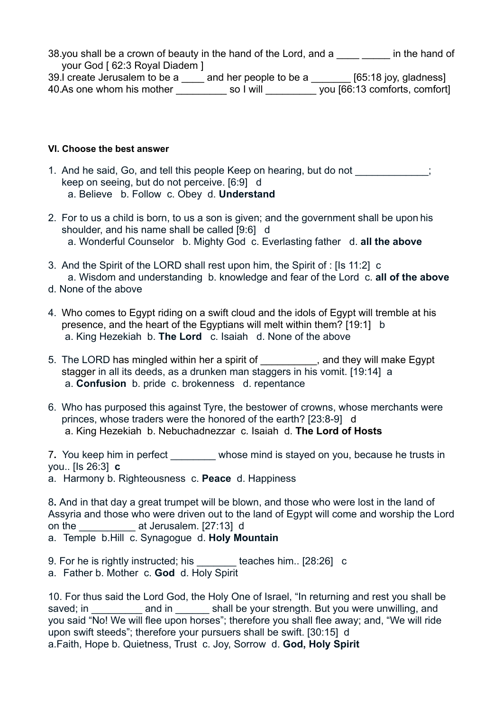38.you shall be a crown of beauty in the hand of the Lord, and a  $\frac{1}{\sqrt{2}}$  in the hand of your God [ 62:3 Royal Diadem ]

39.I create Jerusalem to be a \_\_\_\_ and her people to be a \_\_\_\_\_\_\_ [65:18 joy, gladness] 40.As one whom his mother so I will you [66:13 comforts, comfort]

### **VI. Choose the best answer**

- 1. And he said, Go, and tell this people Keep on hearing, but do not  $\hspace{1cm}$ ; keep on seeing, but do not perceive. [6:9] d a. Believe b. Follow c. Obey d. **Understand**
- 2. For to us a child is born, to us a son is given; and the government shall be upon his shoulder, and his name shall be called [9:6] d a. Wonderful Counselor b. Mighty God c. Everlasting father d. **all the above**
- 3. And the Spirit of the LORD shall rest upon him, the Spirit of : [Is 11:2] c a. Wisdom and understanding b. knowledge and fear of the Lord c. **all of the above**
- d. None of the above
- 4. Who comes to Egypt riding on a swift cloud and the idols of Egypt will tremble at his presence, and the heart of the Egyptians will melt within them? [19:1] b a. King Hezekiah b. **The Lord** c. Isaiah d. None of the above
- 5. The LORD has mingled within her a spirit of \_\_\_\_\_\_\_\_\_, and they will make Egypt stagger in all its deeds, as a drunken man staggers in his vomit. [19:14] a a. **Confusion** b. pride c. brokenness d. repentance
- 6. Who has purposed this against Tyre, the bestower of crowns, whose merchants were princes, whose traders were the honored of the earth? [23:8-9] d a. King Hezekiah b. Nebuchadnezzar c. Isaiah d. **The Lord of Hosts**

7**.** You keep him in perfect \_\_\_\_\_\_\_\_ whose mind is stayed on you, because he trusts in you.. [Is 26:3] **c** 

a. Harmony b. Righteousness c. **Peace** d. Happiness

8**.** And in that day a great trumpet will be blown, and those who were lost in the land of Assyria and those who were driven out to the land of Egypt will come and worship the Lord on the \_\_\_\_\_\_\_\_\_\_ at Jerusalem. [27:13] d a. Temple b.Hill c. Synagogue d. **Holy Mountain**

9. For he is rightly instructed; his eaches him.. [28:26] c

a. Father b. Mother c. **God** d. Holy Spirit

10. For thus said the Lord God, the Holy One of Israel, "In returning and rest you shall be saved; in **Example 20** and in the shall be your strength. But you were unwilling, and you said "No! We will flee upon horses"; therefore you shall flee away; and, "We will ride upon swift steeds"; therefore your pursuers shall be swift. [30:15] d a.Faith, Hope b. Quietness, Trust c. Joy, Sorrow d. **God, Holy Spirit**